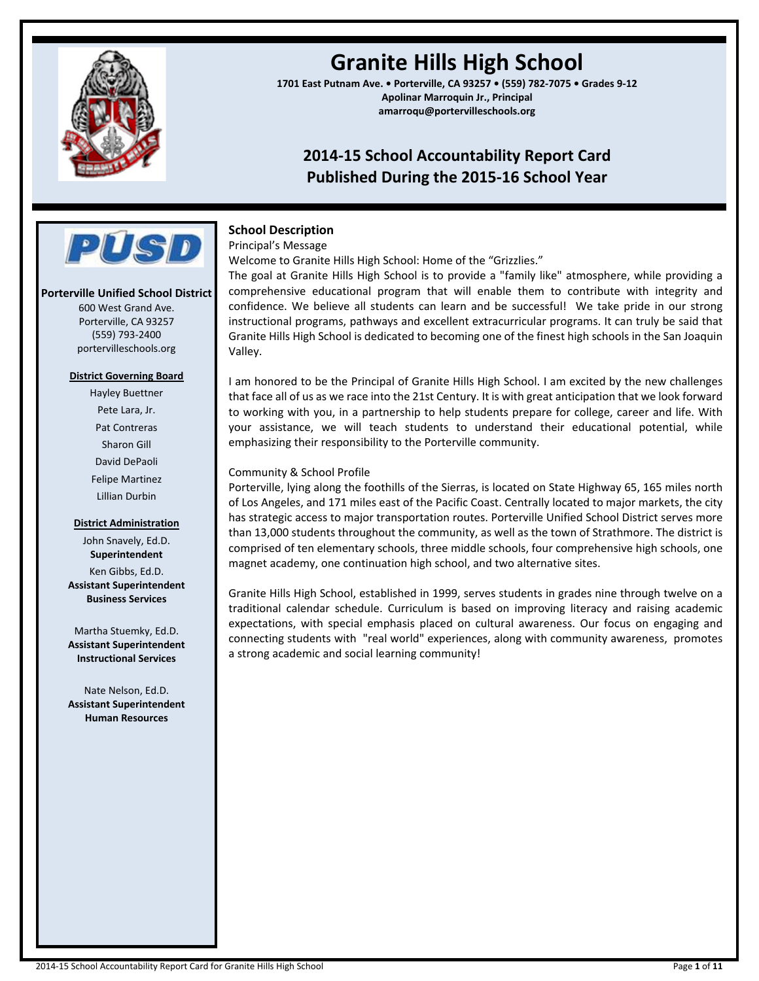

# **Granite Hills High School**

**1701 East Putnam Ave. • Porterville, CA 93257 • (559) 782-7075 • Grades 9-12 Apolinar Marroquin Jr., Principal amarroqu@portervilleschools.org**

## **2014-15 School Accountability Report Card Published During the 2015-16 School Year**



#### **Porterville Unified School District**

600 West Grand Ave. Porterville, CA 93257 (559) 793-2400 portervilleschools.org

#### **District Governing Board**

Hayley Buettner Pete Lara, Jr. Pat Contreras Sharon Gill David DePaoli Felipe Martinez Lillian Durbin

#### **District Administration**

John Snavely, Ed.D. **Superintendent** Ken Gibbs, Ed.D. **Assistant Superintendent Business Services**

Martha Stuemky, Ed.D. **Assistant Superintendent Instructional Services**

Nate Nelson, Ed.D. **Assistant Superintendent Human Resources**

## **School Description**

Principal's Message

Welcome to Granite Hills High School: Home of the "Grizzlies."

The goal at Granite Hills High School is to provide a "family like" atmosphere, while providing a comprehensive educational program that will enable them to contribute with integrity and confidence. We believe all students can learn and be successful! We take pride in our strong instructional programs, pathways and excellent extracurricular programs. It can truly be said that Granite Hills High School is dedicated to becoming one of the finest high schools in the San Joaquin Valley.

I am honored to be the Principal of Granite Hills High School. I am excited by the new challenges that face all of us as we race into the 21st Century. It is with great anticipation that we look forward to working with you, in a partnership to help students prepare for college, career and life. With your assistance, we will teach students to understand their educational potential, while emphasizing their responsibility to the Porterville community.

### Community & School Profile

Porterville, lying along the foothills of the Sierras, is located on State Highway 65, 165 miles north of Los Angeles, and 171 miles east of the Pacific Coast. Centrally located to major markets, the city has strategic access to major transportation routes. Porterville Unified School District serves more than 13,000 students throughout the community, as well as the town of Strathmore. The district is comprised of ten elementary schools, three middle schools, four comprehensive high schools, one magnet academy, one continuation high school, and two alternative sites.

Granite Hills High School, established in 1999, serves students in grades nine through twelve on a traditional calendar schedule. Curriculum is based on improving literacy and raising academic expectations, with special emphasis placed on cultural awareness. Our focus on engaging and connecting students with "real world" experiences, along with community awareness, promotes a strong academic and social learning community!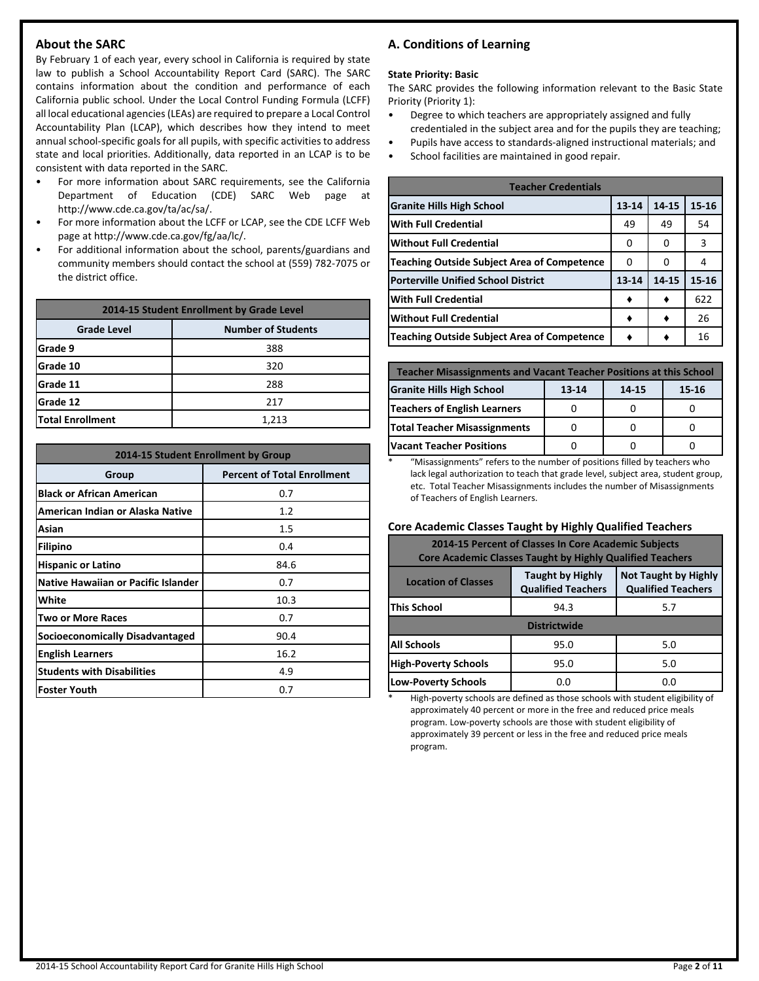## **About the SARC**

By February 1 of each year, every school in California is required by state law to publish a School Accountability Report Card (SARC). The SARC contains information about the condition and performance of each California public school. Under the Local Control Funding Formula (LCFF) all local educational agencies(LEAs) are required to prepare a Local Control Accountability Plan (LCAP), which describes how they intend to meet annual school-specific goals for all pupils, with specific activities to address state and local priorities. Additionally, data reported in an LCAP is to be consistent with data reported in the SARC.

- For more information about SARC requirements, see the California Department of Education (CDE) SARC Web page at http://www.cde.ca.gov/ta/ac/sa/.
- For more information about the LCFF or LCAP, see the CDE LCFF Web page at http://www.cde.ca.gov/fg/aa/lc/.
- For additional information about the school, parents/guardians and community members should contact the school at (559) 782-7075 or the district office.

| 2014-15 Student Enrollment by Grade Level       |     |  |  |  |  |
|-------------------------------------------------|-----|--|--|--|--|
| <b>Number of Students</b><br><b>Grade Level</b> |     |  |  |  |  |
| lGrade 9                                        | 388 |  |  |  |  |
| Grade 10                                        | 320 |  |  |  |  |
| <b>Grade 11</b>                                 | 288 |  |  |  |  |
| lGrade 12<br>217                                |     |  |  |  |  |
| <b>Total Enrollment</b><br>1,213                |     |  |  |  |  |

| 2014-15 Student Enrollment by Group        |                                    |  |  |  |
|--------------------------------------------|------------------------------------|--|--|--|
| Group                                      | <b>Percent of Total Enrollment</b> |  |  |  |
| <b>Black or African American</b>           | 0.7                                |  |  |  |
| American Indian or Alaska Native           | 1.2                                |  |  |  |
| Asian                                      | 1.5                                |  |  |  |
| <b>Filipino</b>                            | 0.4                                |  |  |  |
| <b>Hispanic or Latino</b>                  | 84.6                               |  |  |  |
| <b>Native Hawaiian or Pacific Islander</b> | 0.7                                |  |  |  |
| White                                      | 10.3                               |  |  |  |
| <b>Two or More Races</b>                   | 0.7                                |  |  |  |
| <b>Socioeconomically Disadvantaged</b>     | 90.4                               |  |  |  |
| <b>English Learners</b>                    | 16.2                               |  |  |  |
| <b>Students with Disabilities</b>          | 4.9                                |  |  |  |
| <b>Foster Youth</b>                        | 0.7                                |  |  |  |

## **A. Conditions of Learning**

#### **State Priority: Basic**

The SARC provides the following information relevant to the Basic State Priority (Priority 1):

- Degree to which teachers are appropriately assigned and fully credentialed in the subject area and for the pupils they are teaching;
- Pupils have access to standards-aligned instructional materials; and
- School facilities are maintained in good repair.

| <b>Teacher Credentials</b>                         |           |       |           |  |  |  |
|----------------------------------------------------|-----------|-------|-----------|--|--|--|
| <b>Granite Hills High School</b>                   | $13 - 14$ | 14-15 | $15 - 16$ |  |  |  |
| <b>With Full Credential</b>                        | 49        | 49    | 54        |  |  |  |
| <b>Without Full Credential</b>                     | O         | 0     | 3         |  |  |  |
| <b>Teaching Outside Subject Area of Competence</b> | 0         | 0     | 4         |  |  |  |
| <b>Porterville Unified School District</b>         | 13-14     | 14-15 | $15 - 16$ |  |  |  |
| <b>With Full Credential</b>                        |           |       | 622       |  |  |  |
| <b>Without Full Credential</b>                     |           |       | 26        |  |  |  |
| <b>Teaching Outside Subject Area of Competence</b> |           |       | 16        |  |  |  |

| <b>Teacher Misassignments and Vacant Teacher Positions at this School</b> |  |  |  |  |  |  |  |
|---------------------------------------------------------------------------|--|--|--|--|--|--|--|
| <b>Granite Hills High School</b><br>13-14<br>15-16<br>14-15               |  |  |  |  |  |  |  |
| <b>Teachers of English Learners</b>                                       |  |  |  |  |  |  |  |
| <b>Total Teacher Misassignments</b>                                       |  |  |  |  |  |  |  |
| <b>Vacant Teacher Positions</b>                                           |  |  |  |  |  |  |  |

"Misassignments" refers to the number of positions filled by teachers who lack legal authorization to teach that grade level, subject area, student group, etc. Total Teacher Misassignments includes the number of Misassignments of Teachers of English Learners.

#### **Core Academic Classes Taught by Highly Qualified Teachers**

| 2014-15 Percent of Classes In Core Academic Subjects<br><b>Core Academic Classes Taught by Highly Qualified Teachers</b>                       |      |     |  |  |  |  |
|------------------------------------------------------------------------------------------------------------------------------------------------|------|-----|--|--|--|--|
| <b>Not Taught by Highly</b><br><b>Taught by Highly</b><br><b>Location of Classes</b><br><b>Qualified Teachers</b><br><b>Qualified Teachers</b> |      |     |  |  |  |  |
| <b>This School</b>                                                                                                                             | 94.3 | 5.7 |  |  |  |  |
| <b>Districtwide</b>                                                                                                                            |      |     |  |  |  |  |
| <b>All Schools</b>                                                                                                                             | 95.0 | 5.0 |  |  |  |  |
| <b>High-Poverty Schools</b>                                                                                                                    | 95.0 | 5.0 |  |  |  |  |
| <b>Low-Poverty Schools</b>                                                                                                                     | 0.0  | 0.0 |  |  |  |  |

High-poverty schools are defined as those schools with student eligibility of approximately 40 percent or more in the free and reduced price meals program. Low-poverty schools are those with student eligibility of approximately 39 percent or less in the free and reduced price meals program.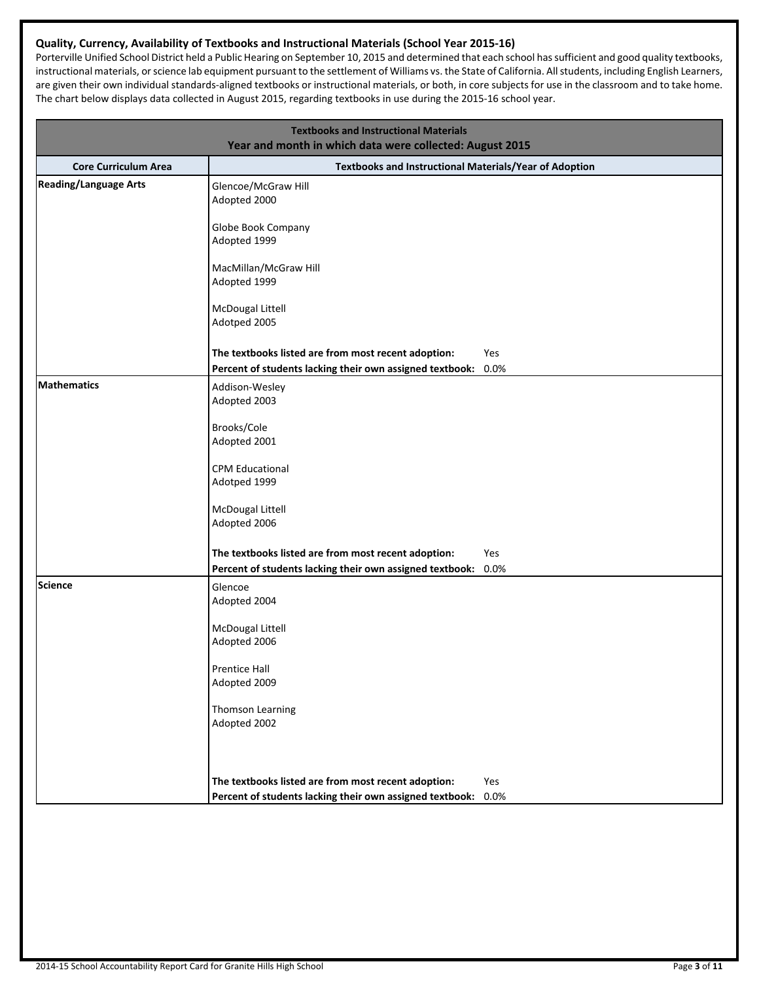## **Quality, Currency, Availability of Textbooks and Instructional Materials (School Year 2015-16)**

Porterville Unified School District held a Public Hearing on September 10, 2015 and determined that each school hassufficient and good quality textbooks, instructional materials, orscience lab equipment pursuant to the settlement of Williams vs. the State of California. Allstudents, including English Learners, are given their own individual standards-aligned textbooks or instructional materials, or both, in core subjects for use in the classroom and to take home. The chart below displays data collected in August 2015, regarding textbooks in use during the 2015-16 school year.

| <b>Textbooks and Instructional Materials</b><br>Year and month in which data were collected: August 2015 |                                                          |      |  |  |  |  |
|----------------------------------------------------------------------------------------------------------|----------------------------------------------------------|------|--|--|--|--|
| <b>Core Curriculum Area</b>                                                                              | Textbooks and Instructional Materials/Year of Adoption   |      |  |  |  |  |
| <b>Reading/Language Arts</b>                                                                             | Glencoe/McGraw Hill<br>Adopted 2000                      |      |  |  |  |  |
|                                                                                                          | Globe Book Company<br>Adopted 1999                       |      |  |  |  |  |
|                                                                                                          | MacMillan/McGraw Hill<br>Adopted 1999                    |      |  |  |  |  |
|                                                                                                          | McDougal Littell<br>Adotped 2005                         |      |  |  |  |  |
|                                                                                                          | The textbooks listed are from most recent adoption:      | Yes  |  |  |  |  |
|                                                                                                          | Percent of students lacking their own assigned textbook: | 0.0% |  |  |  |  |
| Mathematics                                                                                              | Addison-Wesley<br>Adopted 2003                           |      |  |  |  |  |
|                                                                                                          | Brooks/Cole<br>Adopted 2001                              |      |  |  |  |  |
|                                                                                                          | <b>CPM Educational</b><br>Adotped 1999                   |      |  |  |  |  |
|                                                                                                          | McDougal Littell<br>Adopted 2006                         |      |  |  |  |  |
|                                                                                                          | The textbooks listed are from most recent adoption:      | Yes  |  |  |  |  |
|                                                                                                          | Percent of students lacking their own assigned textbook: | 0.0% |  |  |  |  |
| Science                                                                                                  | Glencoe<br>Adopted 2004                                  |      |  |  |  |  |
|                                                                                                          | McDougal Littell                                         |      |  |  |  |  |
|                                                                                                          | Adopted 2006                                             |      |  |  |  |  |
|                                                                                                          | Prentice Hall                                            |      |  |  |  |  |
|                                                                                                          | Adopted 2009                                             |      |  |  |  |  |
|                                                                                                          | Thomson Learning<br>Adopted 2002                         |      |  |  |  |  |
|                                                                                                          |                                                          |      |  |  |  |  |
|                                                                                                          | The textbooks listed are from most recent adoption:      | Yes  |  |  |  |  |
|                                                                                                          | Percent of students lacking their own assigned textbook: | 0.0% |  |  |  |  |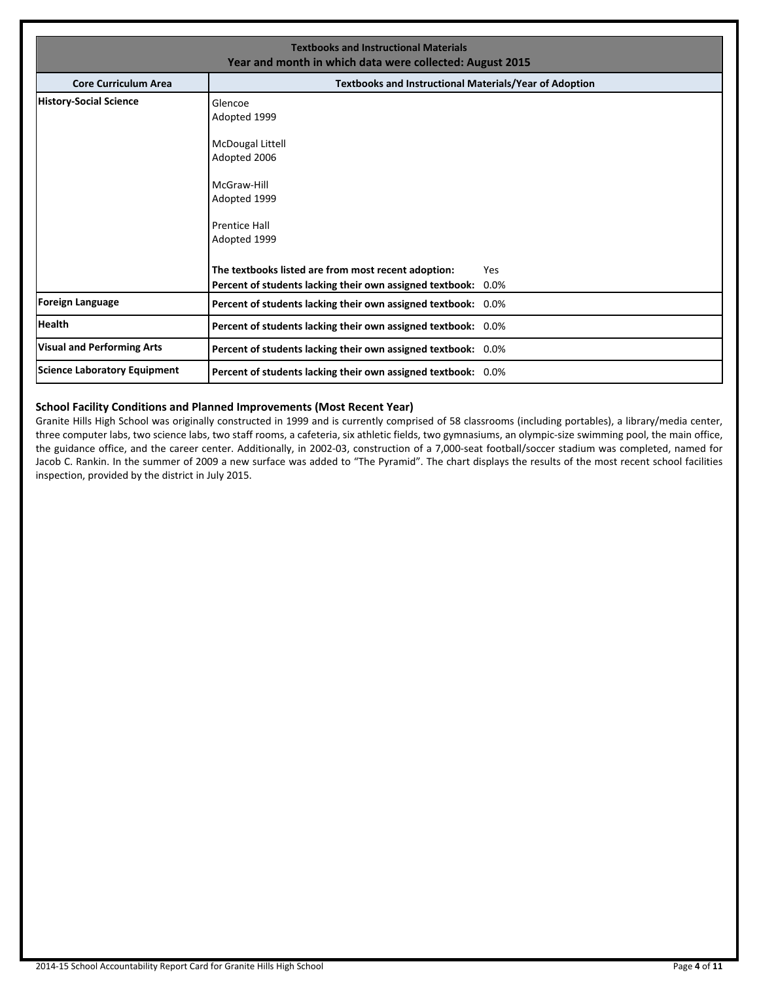| <b>Textbooks and Instructional Materials</b><br>Year and month in which data were collected: August 2015 |                                                                                                                                                                                              |  |  |  |  |  |
|----------------------------------------------------------------------------------------------------------|----------------------------------------------------------------------------------------------------------------------------------------------------------------------------------------------|--|--|--|--|--|
| <b>Core Curriculum Area</b>                                                                              | <b>Textbooks and Instructional Materials/Year of Adoption</b>                                                                                                                                |  |  |  |  |  |
| History-Social Science                                                                                   | Glencoe<br>Adopted 1999<br>McDougal Littell<br>Adopted 2006<br>McGraw-Hill<br>Adopted 1999<br><b>Prentice Hall</b><br>Adopted 1999                                                           |  |  |  |  |  |
| <b>Foreign Language</b>                                                                                  | The textbooks listed are from most recent adoption:<br>Yes<br>Percent of students lacking their own assigned textbook: 0.0%<br>Percent of students lacking their own assigned textbook: 0.0% |  |  |  |  |  |
| <b>Health</b>                                                                                            | Percent of students lacking their own assigned textbook: 0.0%                                                                                                                                |  |  |  |  |  |
| <b>Visual and Performing Arts</b>                                                                        | Percent of students lacking their own assigned textbook: 0.0%                                                                                                                                |  |  |  |  |  |
| Science Laboratory Equipment                                                                             | Percent of students lacking their own assigned textbook: 0.0%                                                                                                                                |  |  |  |  |  |

#### **School Facility Conditions and Planned Improvements (Most Recent Year)**

Granite Hills High School was originally constructed in 1999 and is currently comprised of 58 classrooms (including portables), a library/media center, three computer labs, two science labs, two staff rooms, a cafeteria, six athletic fields, two gymnasiums, an olympic-size swimming pool, the main office, the guidance office, and the career center. Additionally, in 2002-03, construction of a 7,000-seat football/soccer stadium was completed, named for Jacob C. Rankin. In the summer of 2009 a new surface was added to "The Pyramid". The chart displays the results of the most recent school facilities inspection, provided by the district in July 2015.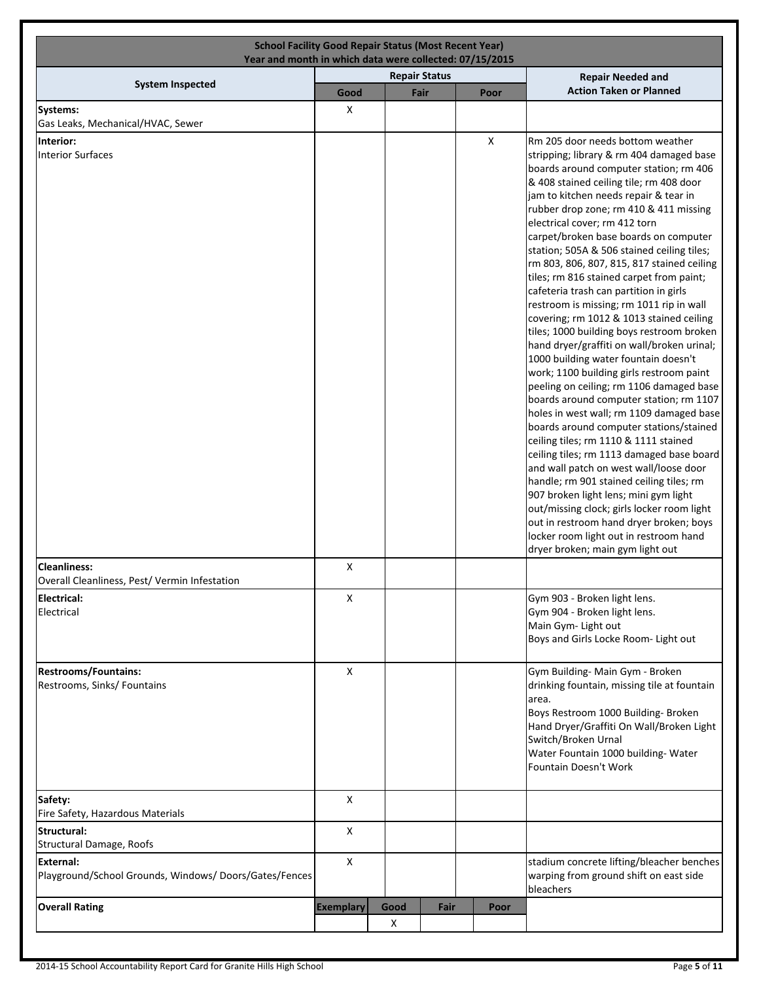| <b>School Facility Good Repair Status (Most Recent Year)</b><br>Year and month in which data were collected: 07/15/2015 |                  |                      |           |      |  |                          |                                                                                                                                                                                                                                                                                                                                                                                                                                                                                                                                                                                                                                                                                                                                                                                                                                                                                                                                                                                                                                                                                                                                                                                                                                                                                                                                                                   |
|-------------------------------------------------------------------------------------------------------------------------|------------------|----------------------|-----------|------|--|--------------------------|-------------------------------------------------------------------------------------------------------------------------------------------------------------------------------------------------------------------------------------------------------------------------------------------------------------------------------------------------------------------------------------------------------------------------------------------------------------------------------------------------------------------------------------------------------------------------------------------------------------------------------------------------------------------------------------------------------------------------------------------------------------------------------------------------------------------------------------------------------------------------------------------------------------------------------------------------------------------------------------------------------------------------------------------------------------------------------------------------------------------------------------------------------------------------------------------------------------------------------------------------------------------------------------------------------------------------------------------------------------------|
| <b>System Inspected</b>                                                                                                 |                  | <b>Repair Status</b> |           |      |  | <b>Repair Needed and</b> |                                                                                                                                                                                                                                                                                                                                                                                                                                                                                                                                                                                                                                                                                                                                                                                                                                                                                                                                                                                                                                                                                                                                                                                                                                                                                                                                                                   |
|                                                                                                                         | Good             |                      | Fair      |      |  | Poor                     | <b>Action Taken or Planned</b>                                                                                                                                                                                                                                                                                                                                                                                                                                                                                                                                                                                                                                                                                                                                                                                                                                                                                                                                                                                                                                                                                                                                                                                                                                                                                                                                    |
| Systems:<br>Gas Leaks, Mechanical/HVAC, Sewer                                                                           | X                |                      |           |      |  |                          |                                                                                                                                                                                                                                                                                                                                                                                                                                                                                                                                                                                                                                                                                                                                                                                                                                                                                                                                                                                                                                                                                                                                                                                                                                                                                                                                                                   |
|                                                                                                                         |                  |                      |           |      |  |                          |                                                                                                                                                                                                                                                                                                                                                                                                                                                                                                                                                                                                                                                                                                                                                                                                                                                                                                                                                                                                                                                                                                                                                                                                                                                                                                                                                                   |
| Interior:<br>Interior Surfaces<br><b>Cleanliness:</b>                                                                   | X                |                      |           |      |  | $\pmb{\mathsf{X}}$       | Rm 205 door needs bottom weather<br>stripping; library & rm 404 damaged base<br>boards around computer station; rm 406<br>& 408 stained ceiling tile; rm 408 door<br>jam to kitchen needs repair & tear in<br>rubber drop zone; rm 410 & 411 missing<br>electrical cover; rm 412 torn<br>carpet/broken base boards on computer<br>station; 505A & 506 stained ceiling tiles;<br>rm 803, 806, 807, 815, 817 stained ceiling<br>tiles; rm 816 stained carpet from paint;<br>cafeteria trash can partition in girls<br>restroom is missing; rm 1011 rip in wall<br>covering; rm 1012 & 1013 stained ceiling<br>tiles; 1000 building boys restroom broken<br>hand dryer/graffiti on wall/broken urinal;<br>1000 building water fountain doesn't<br>work; 1100 building girls restroom paint<br>peeling on ceiling; rm 1106 damaged base<br>boards around computer station; rm 1107<br>holes in west wall; rm 1109 damaged base<br>boards around computer stations/stained<br>ceiling tiles; rm 1110 & 1111 stained<br>ceiling tiles; rm 1113 damaged base board<br>and wall patch on west wall/loose door<br>handle; rm 901 stained ceiling tiles; rm<br>907 broken light lens; mini gym light<br>out/missing clock; girls locker room light<br>out in restroom hand dryer broken; boys<br>locker room light out in restroom hand<br>dryer broken; main gym light out |
| Overall Cleanliness, Pest/ Vermin Infestation                                                                           |                  |                      |           |      |  |                          |                                                                                                                                                                                                                                                                                                                                                                                                                                                                                                                                                                                                                                                                                                                                                                                                                                                                                                                                                                                                                                                                                                                                                                                                                                                                                                                                                                   |
| Electrical:<br>Electrical                                                                                               | X                |                      |           |      |  |                          | Gym 903 - Broken light lens.<br>Gym 904 - Broken light lens.<br>Main Gym- Light out<br>Boys and Girls Locke Room- Light out                                                                                                                                                                                                                                                                                                                                                                                                                                                                                                                                                                                                                                                                                                                                                                                                                                                                                                                                                                                                                                                                                                                                                                                                                                       |
| <b>Restrooms/Fountains:</b><br>Restrooms, Sinks/ Fountains                                                              | X                |                      |           |      |  |                          | Gym Building- Main Gym - Broken<br>drinking fountain, missing tile at fountain<br>area.<br>Boys Restroom 1000 Building- Broken<br>Hand Dryer/Graffiti On Wall/Broken Light<br>Switch/Broken Urnal<br>Water Fountain 1000 building- Water<br>Fountain Doesn't Work                                                                                                                                                                                                                                                                                                                                                                                                                                                                                                                                                                                                                                                                                                                                                                                                                                                                                                                                                                                                                                                                                                 |
| Safety:<br>Fire Safety, Hazardous Materials                                                                             | X                |                      |           |      |  |                          |                                                                                                                                                                                                                                                                                                                                                                                                                                                                                                                                                                                                                                                                                                                                                                                                                                                                                                                                                                                                                                                                                                                                                                                                                                                                                                                                                                   |
| Structural:<br><b>Structural Damage, Roofs</b>                                                                          | X                |                      |           |      |  |                          |                                                                                                                                                                                                                                                                                                                                                                                                                                                                                                                                                                                                                                                                                                                                                                                                                                                                                                                                                                                                                                                                                                                                                                                                                                                                                                                                                                   |
| External:<br>Playground/School Grounds, Windows/Doors/Gates/Fences                                                      | X                |                      |           |      |  |                          | stadium concrete lifting/bleacher benches<br>warping from ground shift on east side<br>bleachers                                                                                                                                                                                                                                                                                                                                                                                                                                                                                                                                                                                                                                                                                                                                                                                                                                                                                                                                                                                                                                                                                                                                                                                                                                                                  |
| <b>Overall Rating</b>                                                                                                   | <b>Exemplary</b> |                      | Good<br>X | Fair |  | Poor                     |                                                                                                                                                                                                                                                                                                                                                                                                                                                                                                                                                                                                                                                                                                                                                                                                                                                                                                                                                                                                                                                                                                                                                                                                                                                                                                                                                                   |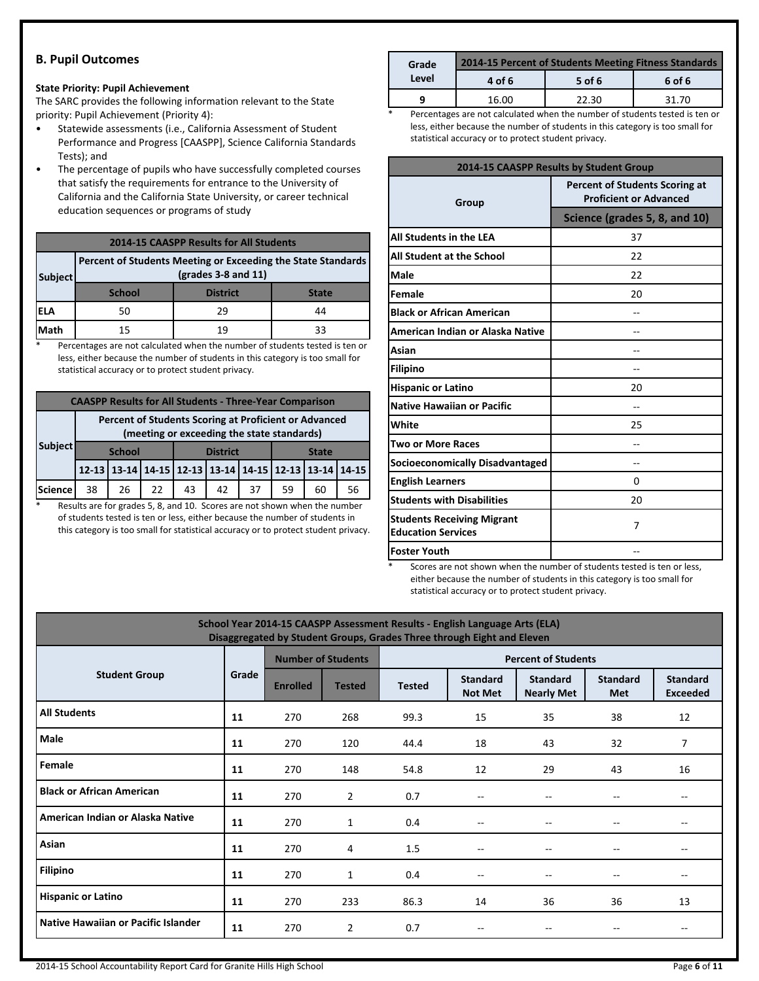## **B. Pupil Outcomes**

#### **State Priority: Pupil Achievement**

The SARC provides the following information relevant to the State priority: Pupil Achievement (Priority 4):

- Statewide assessments (i.e., California Assessment of Student Performance and Progress [CAASPP], Science California Standards Tests); and
- The percentage of pupils who have successfully completed courses that satisfy the requirements for entrance to the University of California and the California State University, or career technical education sequences or programs of study

#### **2014-15 CAASPP Results for All Students**

| Subject | Percent of Students Meeting or Exceeding the State Standards |                 |              |
|---------|--------------------------------------------------------------|-----------------|--------------|
|         | <b>School</b>                                                | <b>District</b> | <b>State</b> |
| iela    | 50                                                           | 29              | 44           |
| Math    | 15                                                           | 19              | 33           |

\* Percentages are not calculated when the number of students tested is ten or less, either because the number of students in this category is too small for statistical accuracy or to protect student privacy.

|                                                                                                     | <b>CAASPP Results for All Students - Three-Year Comparison</b> |    |               |    |                 |                                                       |    |              |    |    |
|-----------------------------------------------------------------------------------------------------|----------------------------------------------------------------|----|---------------|----|-----------------|-------------------------------------------------------|----|--------------|----|----|
| Percent of Students Scoring at Proficient or Advanced<br>(meeting or exceeding the state standards) |                                                                |    |               |    |                 |                                                       |    |              |    |    |
|                                                                                                     | Subject                                                        |    | <b>School</b> |    | <b>District</b> |                                                       |    | <b>State</b> |    |    |
|                                                                                                     |                                                                |    |               |    |                 | 12-13 13-14 14-15 12-13 13-14 14-15 12-13 13-14 14-15 |    |              |    |    |
|                                                                                                     | Science                                                        | 38 | 26            | 22 | 43              | 42                                                    | 37 | 59           | 60 | 56 |

\* Results are for grades 5, 8, and 10. Scores are not shown when the number of students tested is ten or less, either because the number of students in this category is too small for statistical accuracy or to protect student privacy.

| Grade | 2014-15 Percent of Students Meeting Fitness Standards |        |        |  |  |  |
|-------|-------------------------------------------------------|--------|--------|--|--|--|
| Level | 4 of 6                                                | 5 of 6 | 6 of 6 |  |  |  |
| a     | 16.00                                                 | 22.30  | 31.70  |  |  |  |

Percentages are not calculated when the number of students tested is ten or less, either because the number of students in this category is too small for statistical accuracy or to protect student privacy.

| 2014-15 CAASPP Results by Student Group                        |                                                                        |  |  |  |  |
|----------------------------------------------------------------|------------------------------------------------------------------------|--|--|--|--|
| Group                                                          | <b>Percent of Students Scoring at</b><br><b>Proficient or Advanced</b> |  |  |  |  |
|                                                                | Science (grades 5, 8, and 10)                                          |  |  |  |  |
| All Students in the LEA                                        | 37                                                                     |  |  |  |  |
| All Student at the School                                      | 22                                                                     |  |  |  |  |
| Male                                                           | 22                                                                     |  |  |  |  |
| Female                                                         | 20                                                                     |  |  |  |  |
| <b>Black or African American</b>                               |                                                                        |  |  |  |  |
| American Indian or Alaska Native                               |                                                                        |  |  |  |  |
| Asian                                                          |                                                                        |  |  |  |  |
| <b>Filipino</b>                                                |                                                                        |  |  |  |  |
| <b>Hispanic or Latino</b>                                      | 20                                                                     |  |  |  |  |
| <b>Native Hawaiian or Pacific</b>                              |                                                                        |  |  |  |  |
| White                                                          | 25                                                                     |  |  |  |  |
| Two or More Races                                              |                                                                        |  |  |  |  |
| <b>Socioeconomically Disadvantaged</b>                         | --                                                                     |  |  |  |  |
| <b>English Learners</b>                                        | 0                                                                      |  |  |  |  |
| <b>Students with Disabilities</b>                              | 20                                                                     |  |  |  |  |
| <b>Students Receiving Migrant</b><br><b>Education Services</b> | 7                                                                      |  |  |  |  |
| <b>Foster Youth</b>                                            |                                                                        |  |  |  |  |

Scores are not shown when the number of students tested is ten or less, either because the number of students in this category is too small for statistical accuracy or to protect student privacy.

| School Year 2014-15 CAASPP Assessment Results - English Language Arts (ELA)<br>Disaggregated by Student Groups, Grades Three through Eight and Eleven |       |                           |                |                            |                                   |                                      |                               |                                    |  |  |
|-------------------------------------------------------------------------------------------------------------------------------------------------------|-------|---------------------------|----------------|----------------------------|-----------------------------------|--------------------------------------|-------------------------------|------------------------------------|--|--|
|                                                                                                                                                       |       | <b>Number of Students</b> |                | <b>Percent of Students</b> |                                   |                                      |                               |                                    |  |  |
| <b>Student Group</b>                                                                                                                                  | Grade | <b>Enrolled</b>           | <b>Tested</b>  | <b>Tested</b>              | <b>Standard</b><br><b>Not Met</b> | <b>Standard</b><br><b>Nearly Met</b> | <b>Standard</b><br><b>Met</b> | <b>Standard</b><br><b>Exceeded</b> |  |  |
| <b>All Students</b>                                                                                                                                   | 11    | 270                       | 268            | 99.3                       | 15                                | 35                                   | 38                            | 12                                 |  |  |
| Male                                                                                                                                                  | 11    | 270                       | 120            | 44.4                       | 18                                | 43                                   | 32                            | 7                                  |  |  |
| Female                                                                                                                                                | 11    | 270                       | 148            | 54.8                       | 12                                | 29                                   | 43                            | 16                                 |  |  |
| <b>Black or African American</b>                                                                                                                      | 11    | 270                       | $\overline{2}$ | 0.7                        | $\overline{\phantom{m}}$          |                                      | --                            | $- -$                              |  |  |
| American Indian or Alaska Native                                                                                                                      | 11    | 270                       | $\mathbf{1}$   | 0.4                        | $- -$                             |                                      | $-$                           | $- -$                              |  |  |
| Asian                                                                                                                                                 | 11    | 270                       | 4              | 1.5                        | $\overline{\phantom{a}}$          |                                      | $-$                           | $- -$                              |  |  |
| <b>Filipino</b>                                                                                                                                       | 11    | 270                       | $\mathbf{1}$   | 0.4                        | $\overline{\phantom{a}}$          | $ -$                                 | $ -$                          | $- -$                              |  |  |
| <b>Hispanic or Latino</b>                                                                                                                             | 11    | 270                       | 233            | 86.3                       | 14                                | 36                                   | 36                            | 13                                 |  |  |
| Native Hawaiian or Pacific Islander                                                                                                                   | 11    | 270                       | $\overline{2}$ | 0.7                        | --                                |                                      |                               | $- -$                              |  |  |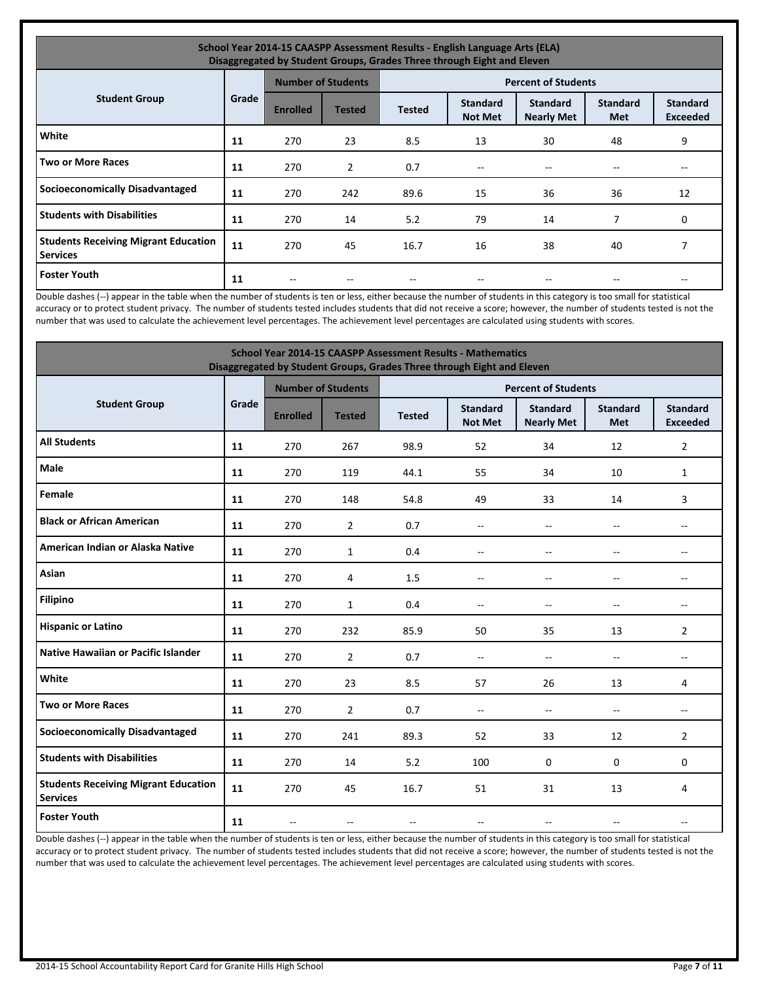| School Year 2014-15 CAASPP Assessment Results - English Language Arts (ELA)<br>Disaggregated by Student Groups, Grades Three through Eight and Eleven |       |                 |                           |               |                                   |                                      |                        |                                    |  |  |
|-------------------------------------------------------------------------------------------------------------------------------------------------------|-------|-----------------|---------------------------|---------------|-----------------------------------|--------------------------------------|------------------------|------------------------------------|--|--|
|                                                                                                                                                       |       |                 | <b>Number of Students</b> |               |                                   | <b>Percent of Students</b>           |                        |                                    |  |  |
| <b>Student Group</b>                                                                                                                                  | Grade | <b>Enrolled</b> | <b>Tested</b>             | <b>Tested</b> | <b>Standard</b><br><b>Not Met</b> | <b>Standard</b><br><b>Nearly Met</b> | <b>Standard</b><br>Met | <b>Standard</b><br><b>Exceeded</b> |  |  |
| White                                                                                                                                                 | 11    | 270             | 23                        | 8.5           | 13                                | 30                                   | 48                     | 9                                  |  |  |
| <b>Two or More Races</b>                                                                                                                              | 11    | 270             | $\overline{2}$            | 0.7           | $\hspace{0.05cm}$                 | --                                   |                        | --                                 |  |  |
| <b>Socioeconomically Disadvantaged</b>                                                                                                                | 11    | 270             | 242                       | 89.6          | 15                                | 36                                   | 36                     | 12                                 |  |  |
| <b>Students with Disabilities</b>                                                                                                                     | 11    | 270             | 14                        | 5.2           | 79                                | 14                                   | 7                      | 0                                  |  |  |
| <b>Students Receiving Migrant Education</b><br><b>Services</b>                                                                                        | 11    | 270             | 45                        | 16.7          | 16                                | 38                                   | 40                     | 7                                  |  |  |
| <b>Foster Youth</b>                                                                                                                                   | 11    |                 |                           |               |                                   |                                      |                        |                                    |  |  |

Double dashes (--) appear in the table when the number of students is ten or less, either because the number of students in this category is too small for statistical accuracy or to protect student privacy. The number of students tested includes students that did not receive a score; however, the number of students tested is not the number that was used to calculate the achievement level percentages. The achievement level percentages are calculated using students with scores.

| <b>School Year 2014-15 CAASPP Assessment Results - Mathematics</b><br>Disaggregated by Student Groups, Grades Three through Eight and Eleven |       |                 |                           |                            |                                   |                                      |                          |                                    |  |
|----------------------------------------------------------------------------------------------------------------------------------------------|-------|-----------------|---------------------------|----------------------------|-----------------------------------|--------------------------------------|--------------------------|------------------------------------|--|
|                                                                                                                                              |       |                 | <b>Number of Students</b> | <b>Percent of Students</b> |                                   |                                      |                          |                                    |  |
| <b>Student Group</b>                                                                                                                         | Grade | <b>Enrolled</b> | <b>Tested</b>             | <b>Tested</b>              | <b>Standard</b><br><b>Not Met</b> | <b>Standard</b><br><b>Nearly Met</b> | <b>Standard</b><br>Met   | <b>Standard</b><br><b>Exceeded</b> |  |
| <b>All Students</b>                                                                                                                          | 11    | 270             | 267                       | 98.9                       | 52                                | 34                                   | 12                       | $\overline{2}$                     |  |
| Male                                                                                                                                         | 11    | 270             | 119                       | 44.1                       | 55                                | 34                                   | 10                       | 1                                  |  |
| Female                                                                                                                                       | 11    | 270             | 148                       | 54.8                       | 49                                | 33                                   | 14                       | 3                                  |  |
| <b>Black or African American</b>                                                                                                             | 11    | 270             | $\overline{2}$            | 0.7                        | $\overline{\phantom{a}}$          | $\overline{a}$                       | $\overline{a}$           | $\overline{a}$                     |  |
| American Indian or Alaska Native                                                                                                             | 11    | 270             | $\mathbf{1}$              | 0.4                        | $\overline{\phantom{a}}$          | $-$                                  | $-$                      | $-$                                |  |
| Asian                                                                                                                                        | 11    | 270             | 4                         | 1.5                        | $-$                               | $\overline{a}$                       | $\overline{a}$           | $\overline{a}$                     |  |
| <b>Filipino</b>                                                                                                                              | 11    | 270             | $\mathbf{1}$              | 0.4                        | $-$                               | $\overline{a}$                       | $\overline{\phantom{a}}$ | $-$                                |  |
| <b>Hispanic or Latino</b>                                                                                                                    | 11    | 270             | 232                       | 85.9                       | 50                                | 35                                   | 13                       | $\overline{2}$                     |  |
| <b>Native Hawaiian or Pacific Islander</b>                                                                                                   | 11    | 270             | $\overline{2}$            | 0.7                        | $\overline{\phantom{a}}$          | $-$                                  | $\overline{\phantom{a}}$ | $-$                                |  |
| White                                                                                                                                        | 11    | 270             | 23                        | 8.5                        | 57                                | 26                                   | 13                       | 4                                  |  |
| <b>Two or More Races</b>                                                                                                                     | 11    | 270             | $\overline{2}$            | 0.7                        | $\overline{\phantom{a}}$          | $\overline{a}$                       | $\overline{\phantom{a}}$ | $\overline{a}$                     |  |
| <b>Socioeconomically Disadvantaged</b>                                                                                                       | 11    | 270             | 241                       | 89.3                       | 52                                | 33                                   | 12                       | $\overline{2}$                     |  |
| <b>Students with Disabilities</b>                                                                                                            | 11    | 270             | 14                        | 5.2                        | 100                               | $\Omega$                             | 0                        | 0                                  |  |
| <b>Students Receiving Migrant Education</b><br><b>Services</b>                                                                               | 11    | 270             | 45                        | 16.7                       | 51                                | 31                                   | 13                       | 4                                  |  |
| <b>Foster Youth</b>                                                                                                                          | 11    | $\sim$          | $\overline{\phantom{a}}$  | $\overline{a}$             | $\frac{1}{2}$                     | --                                   | --                       | $\overline{a}$                     |  |

Double dashes (--) appear in the table when the number of students is ten or less, either because the number of students in this category is too small for statistical accuracy or to protect student privacy. The number of students tested includes students that did not receive a score; however, the number of students tested is not the number that was used to calculate the achievement level percentages. The achievement level percentages are calculated using students with scores.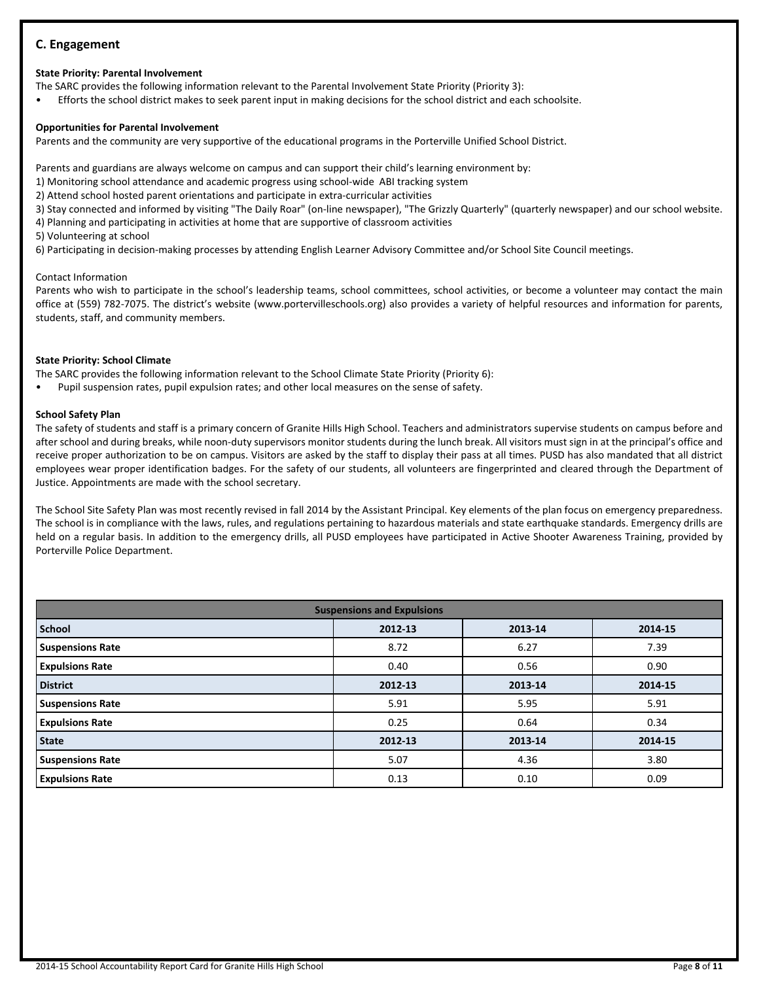## **C. Engagement**

## **State Priority: Parental Involvement**

- The SARC provides the following information relevant to the Parental Involvement State Priority (Priority 3):
- Efforts the school district makes to seek parent input in making decisions for the school district and each schoolsite.

## **Opportunities for Parental Involvement**

Parents and the community are very supportive of the educational programs in the Porterville Unified School District.

Parents and guardians are always welcome on campus and can support their child's learning environment by:

- 1) Monitoring school attendance and academic progress using school-wide ABI tracking system
- 2) Attend school hosted parent orientations and participate in extra-curricular activities

3) Stay connected and informed by visiting "The Daily Roar" (on-line newspaper), "The Grizzly Quarterly" (quarterly newspaper) and our school website.

4) Planning and participating in activities at home that are supportive of classroom activities

5) Volunteering at school

6) Participating in decision-making processes by attending English Learner Advisory Committee and/or School Site Council meetings.

## Contact Information

Parents who wish to participate in the school's leadership teams, school committees, school activities, or become a volunteer may contact the main office at (559) 782-7075. The district's website (www.portervilleschools.org) also provides a variety of helpful resources and information for parents, students, staff, and community members.

## **State Priority: School Climate**

The SARC provides the following information relevant to the School Climate State Priority (Priority 6):

• Pupil suspension rates, pupil expulsion rates; and other local measures on the sense of safety.

## **School Safety Plan**

The safety of students and staff is a primary concern of Granite Hills High School. Teachers and administrators supervise students on campus before and after school and during breaks, while noon-duty supervisors monitor students during the lunch break. All visitors must sign in at the principal's office and receive proper authorization to be on campus. Visitors are asked by the staff to display their pass at all times. PUSD has also mandated that all district employees wear proper identification badges. For the safety of our students, all volunteers are fingerprinted and cleared through the Department of Justice. Appointments are made with the school secretary.

The School Site Safety Plan was most recently revised in fall 2014 by the Assistant Principal. Key elements of the plan focus on emergency preparedness. The school is in compliance with the laws, rules, and regulations pertaining to hazardous materials and state earthquake standards. Emergency drills are held on a regular basis. In addition to the emergency drills, all PUSD employees have participated in Active Shooter Awareness Training, provided by Porterville Police Department.

| <b>Suspensions and Expulsions</b> |         |         |         |  |  |  |  |  |
|-----------------------------------|---------|---------|---------|--|--|--|--|--|
| l School                          | 2012-13 | 2013-14 | 2014-15 |  |  |  |  |  |
| <b>Suspensions Rate</b>           | 8.72    | 6.27    | 7.39    |  |  |  |  |  |
| <b>Expulsions Rate</b>            | 0.40    | 0.56    | 0.90    |  |  |  |  |  |
| <b>District</b>                   | 2012-13 | 2013-14 | 2014-15 |  |  |  |  |  |
| <b>Suspensions Rate</b>           | 5.91    | 5.95    | 5.91    |  |  |  |  |  |
| <b>Expulsions Rate</b>            | 0.25    | 0.64    | 0.34    |  |  |  |  |  |
| State                             | 2012-13 | 2013-14 | 2014-15 |  |  |  |  |  |
| <b>Suspensions Rate</b>           | 5.07    | 4.36    | 3.80    |  |  |  |  |  |
| <b>Expulsions Rate</b>            | 0.13    | 0.10    | 0.09    |  |  |  |  |  |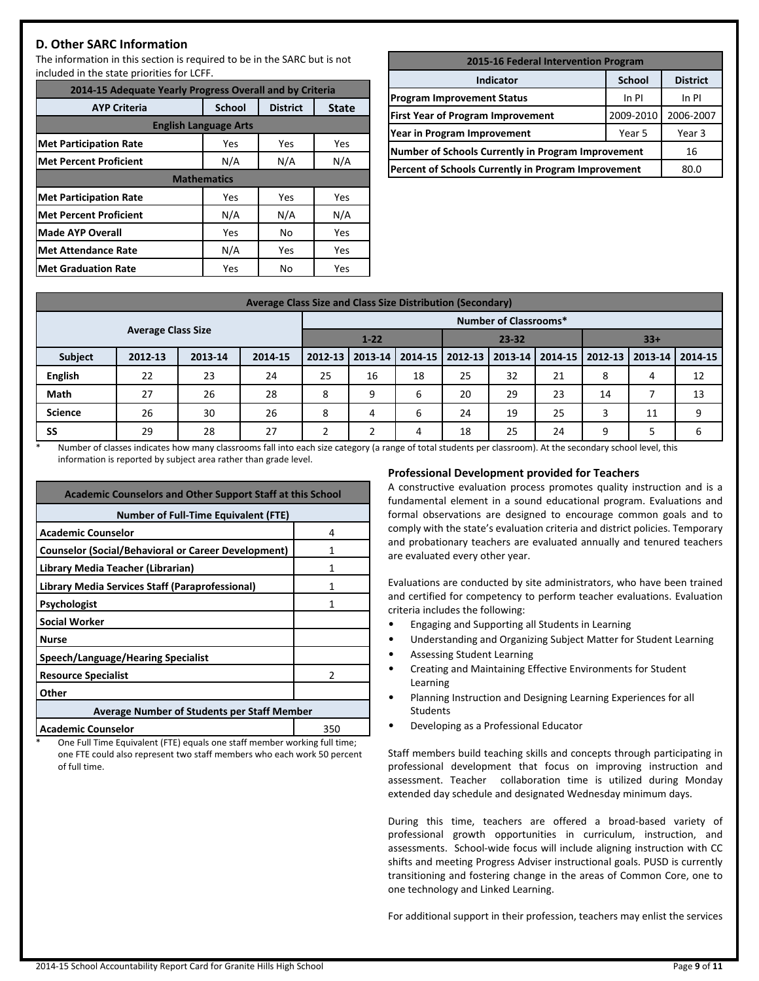## **D. Other SARC Information**

The information in this section is required to be in the SARC but is not included in the state priorities for LCFF.

| 2014-15 Adequate Yearly Progress Overall and by Criteria                |                    |     |     |  |  |  |  |  |  |
|-------------------------------------------------------------------------|--------------------|-----|-----|--|--|--|--|--|--|
| <b>AYP Criteria</b><br><b>School</b><br><b>District</b><br><b>State</b> |                    |     |     |  |  |  |  |  |  |
| <b>English Language Arts</b>                                            |                    |     |     |  |  |  |  |  |  |
| <b>Met Participation Rate</b>                                           | Yes                | Yes | Yes |  |  |  |  |  |  |
| Met Percent Proficient                                                  | N/A                | N/A | N/A |  |  |  |  |  |  |
|                                                                         | <b>Mathematics</b> |     |     |  |  |  |  |  |  |
| <b>Met Participation Rate</b>                                           | Yes                | Yes | Yes |  |  |  |  |  |  |
| <b>Met Percent Proficient</b>                                           | N/A                | N/A | N/A |  |  |  |  |  |  |
| Made AYP Overall                                                        | Yes                | No  | Yes |  |  |  |  |  |  |
| Met Attendance Rate                                                     | N/A                | Yes | Yes |  |  |  |  |  |  |
| Met Graduation Rate                                                     | Yes                | No  | Yes |  |  |  |  |  |  |

| 2015-16 Federal Intervention Program                      |           |           |  |  |  |  |  |
|-----------------------------------------------------------|-----------|-----------|--|--|--|--|--|
| <b>School</b><br><b>District</b><br><b>Indicator</b>      |           |           |  |  |  |  |  |
| <b>Program Improvement Status</b>                         | $In$ PI   | In PI     |  |  |  |  |  |
| <b>First Year of Program Improvement</b>                  | 2009-2010 | 2006-2007 |  |  |  |  |  |
| Year in Program Improvement                               | Year 5    | Year 3    |  |  |  |  |  |
| <b>Number of Schools Currently in Program Improvement</b> |           | 16        |  |  |  |  |  |
| Percent of Schools Currently in Program Improvement       |           | 80.0      |  |  |  |  |  |

| Average Class Size and Class Size Distribution (Secondary) |         |         |         |          |         |         |           |         |    |                   |             |         |
|------------------------------------------------------------|---------|---------|---------|----------|---------|---------|-----------|---------|----|-------------------|-------------|---------|
| <b>Number of Classrooms*</b><br><b>Average Class Size</b>  |         |         |         |          |         |         |           |         |    |                   |             |         |
|                                                            |         |         |         | $1 - 22$ |         |         | $23 - 32$ |         |    | $33+$             |             |         |
| <b>Subject</b>                                             | 2012-13 | 2013-14 | 2014-15 | 2012-13  | 2013-14 | 2014-15 | 2012-13   | 2013-14 |    | 2014-15   2012-13 | $ 2013-14 $ | 2014-15 |
| <b>English</b>                                             | 22      | 23      | 24      | 25       | 16      | 18      | 25        | 32      | 21 | 8                 | 4           | 12      |
| Math                                                       | 27      | 26      | 28      | 8        | 9       | 6       | 20        | 29      | 23 | 14                |             | 13      |
| <b>Science</b>                                             | 26      | 30      | 26      | 8        | 4       | 6       | 24        | 19      | 25 | 3                 | 11          | 9       |
| SS                                                         | 29      | 28      | 27      |          |         | 4       | 18        | 25      | 24 | q                 |             | h       |

\* Number of classes indicates how many classrooms fall into each size category (a range of total students per classroom). At the secondary school level, this information is reported by subject area rather than grade level.

| <b>Academic Counselors and Other Support Staff at this School</b> |   |  |  |  |  |  |
|-------------------------------------------------------------------|---|--|--|--|--|--|
| <b>Number of Full-Time Equivalent (FTE)</b>                       |   |  |  |  |  |  |
| <b>Academic Counselor</b>                                         | 4 |  |  |  |  |  |
| <b>Counselor (Social/Behavioral or Career Development)</b>        |   |  |  |  |  |  |
| Library Media Teacher (Librarian)                                 |   |  |  |  |  |  |
| Library Media Services Staff (Paraprofessional)                   | 1 |  |  |  |  |  |
| <b>Psychologist</b>                                               | 1 |  |  |  |  |  |
| <b>Social Worker</b>                                              |   |  |  |  |  |  |
| <b>Nurse</b>                                                      |   |  |  |  |  |  |
| Speech/Language/Hearing Specialist                                |   |  |  |  |  |  |
| <b>Resource Specialist</b>                                        | 2 |  |  |  |  |  |
| Other                                                             |   |  |  |  |  |  |
| <b>Average Number of Students per Staff Member</b>                |   |  |  |  |  |  |
|                                                                   |   |  |  |  |  |  |

**Academic Counselor** 250

One Full Time Equivalent (FTE) equals one staff member working full time; one FTE could also represent two staff members who each work 50 percent of full time.

#### **Professional Development provided for Teachers**

A constructive evaluation process promotes quality instruction and is a fundamental element in a sound educational program. Evaluations and formal observations are designed to encourage common goals and to comply with the state's evaluation criteria and district policies. Temporary and probationary teachers are evaluated annually and tenured teachers are evaluated every other year.

Evaluations are conducted by site administrators, who have been trained and certified for competency to perform teacher evaluations. Evaluation criteria includes the following:

- Engaging and Supporting all Students in Learning
- Understanding and Organizing Subject Matter for Student Learning
- Assessing Student Learning
- Creating and Maintaining Effective Environments for Student Learning
- Planning Instruction and Designing Learning Experiences for all Students
- Developing as a Professional Educator

Staff members build teaching skills and concepts through participating in professional development that focus on improving instruction and assessment. Teacher collaboration time is utilized during Monday extended day schedule and designated Wednesday minimum days.

During this time, teachers are offered a broad-based variety of professional growth opportunities in curriculum, instruction, and assessments. School-wide focus will include aligning instruction with CC shifts and meeting Progress Adviser instructional goals. PUSD is currently transitioning and fostering change in the areas of Common Core, one to one technology and Linked Learning.

For additional support in their profession, teachers may enlist the services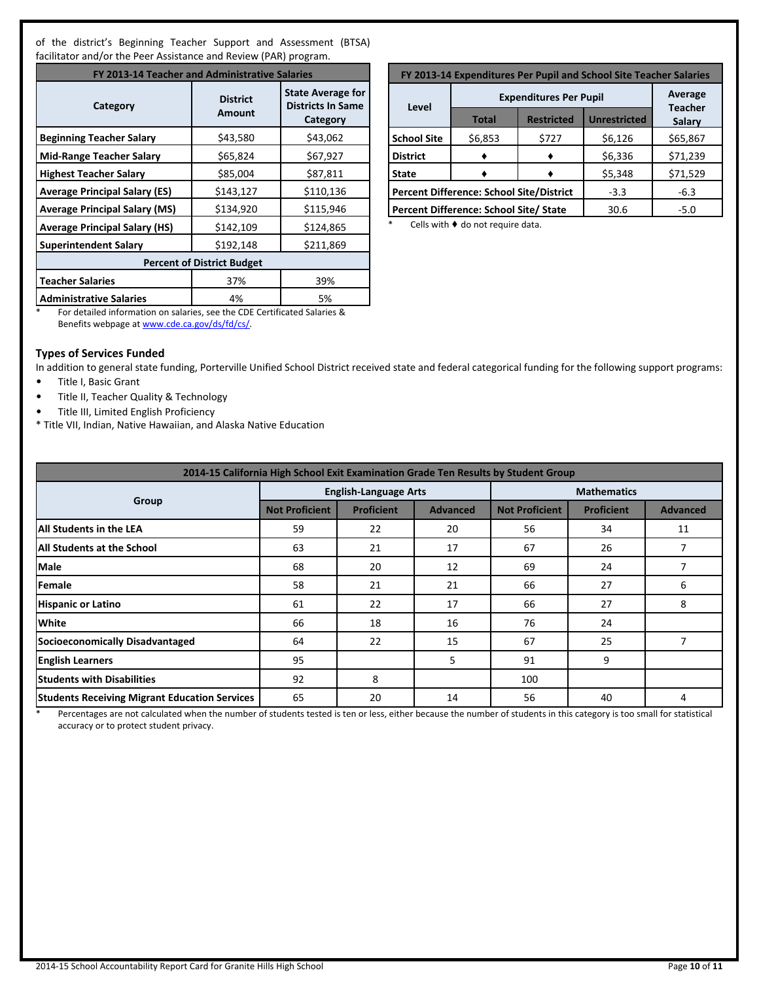of the district's Beginning Teacher Support and Assessment (BTSA) facilitator and/or the Peer Assistance and Review (PAR) program.

| FY 2013-14 Teacher and Administrative Salaries |                                   |                                                                  |  |  |  |  |  |  |
|------------------------------------------------|-----------------------------------|------------------------------------------------------------------|--|--|--|--|--|--|
| Category                                       | <b>District</b><br>Amount         | <b>State Average for</b><br><b>Districts In Same</b><br>Category |  |  |  |  |  |  |
| <b>Beginning Teacher Salary</b>                | \$43,580                          | \$43,062                                                         |  |  |  |  |  |  |
| <b>Mid-Range Teacher Salary</b>                | \$65,824                          | \$67,927                                                         |  |  |  |  |  |  |
| <b>Highest Teacher Salary</b>                  | \$85,004                          | \$87,811                                                         |  |  |  |  |  |  |
| <b>Average Principal Salary (ES)</b>           | \$143,127                         | \$110,136                                                        |  |  |  |  |  |  |
| <b>Average Principal Salary (MS)</b>           | \$134,920                         | \$115,946                                                        |  |  |  |  |  |  |
| <b>Average Principal Salary (HS)</b>           | \$142,109                         | \$124,865                                                        |  |  |  |  |  |  |
| <b>Superintendent Salary</b>                   | \$192,148                         | \$211,869                                                        |  |  |  |  |  |  |
|                                                | <b>Percent of District Budget</b> |                                                                  |  |  |  |  |  |  |
| <b>Teacher Salaries</b>                        | 37%                               | 39%                                                              |  |  |  |  |  |  |
| <b>Administrative Salaries</b>                 | 4%                                | 5%                                                               |  |  |  |  |  |  |

| FY 2013-14 Expenditures Per Pupil and School Site Teacher Salaries |                                        |                   |                     |          |  |  |  |  |
|--------------------------------------------------------------------|----------------------------------------|-------------------|---------------------|----------|--|--|--|--|
|                                                                    | Average<br><b>Teacher</b>              |                   |                     |          |  |  |  |  |
| Level                                                              | <b>Total</b>                           | <b>Restricted</b> | <b>Unrestricted</b> |          |  |  |  |  |
| <b>School Site</b>                                                 | \$6,853                                | \$727             | \$6,126             | \$65,867 |  |  |  |  |
| <b>District</b>                                                    |                                        |                   | \$6,336             | \$71,239 |  |  |  |  |
| <b>State</b>                                                       |                                        |                   | \$5,348             | \$71,529 |  |  |  |  |
| <b>Percent Difference: School Site/District</b>                    |                                        |                   | $-3.3$              | $-6.3$   |  |  |  |  |
|                                                                    | Percent Difference: School Site/ State |                   | 30.6                | $-5.0$   |  |  |  |  |

\* Cells with ♦ do not require data.

\* For detailed information on salaries, see the CDE Certificated Salaries & Benefits webpage at [www.cde.ca.gov/ds/fd/cs/](http://www.cde.ca.gov/ds/fd/cs/).

#### **Types of Services Funded**

In addition to general state funding, Porterville Unified School District received state and federal categorical funding for the following support programs:

- Title I, Basic Grant
- Title II, Teacher Quality & Technology
- Title III, Limited English Proficiency
- \* Title VII, Indian, Native Hawaiian, and Alaska Native Education

| 2014-15 California High School Exit Examination Grade Ten Results by Student Group |                       |                              |                 |                       |                    |                 |  |  |  |  |  |
|------------------------------------------------------------------------------------|-----------------------|------------------------------|-----------------|-----------------------|--------------------|-----------------|--|--|--|--|--|
|                                                                                    |                       | <b>English-Language Arts</b> |                 |                       | <b>Mathematics</b> |                 |  |  |  |  |  |
| Group                                                                              | <b>Not Proficient</b> | <b>Proficient</b>            | <b>Advanced</b> | <b>Not Proficient</b> | <b>Proficient</b>  | <b>Advanced</b> |  |  |  |  |  |
| All Students in the LEA                                                            | 59                    | 22                           | 20              | 56                    | 34                 | 11              |  |  |  |  |  |
| <b>All Students at the School</b>                                                  | 63                    | 21                           | 17              | 67                    | 26                 | 7               |  |  |  |  |  |
| <b>Male</b>                                                                        | 68                    | 20                           | 12              | 69                    | 24                 |                 |  |  |  |  |  |
| Female                                                                             | 58                    | 21                           | 21              | 66                    | 27                 | 6               |  |  |  |  |  |
| <b>Hispanic or Latino</b>                                                          | 61                    | 22                           | 17              | 66                    | 27                 | 8               |  |  |  |  |  |
| <b>White</b>                                                                       | 66                    | 18                           | 16              | 76                    | 24                 |                 |  |  |  |  |  |
| Socioeconomically Disadvantaged                                                    | 64                    | 22                           | 15              | 67                    | 25                 | 7               |  |  |  |  |  |
| <b>English Learners</b>                                                            | 95                    |                              | 5               | 91                    | 9                  |                 |  |  |  |  |  |
| <b>Students with Disabilities</b>                                                  | 92                    | 8                            |                 | 100                   |                    |                 |  |  |  |  |  |
| <b>Students Receiving Migrant Education Services</b>                               | 65                    | 20                           | 14              | 56                    | 40                 | 4               |  |  |  |  |  |

\* Percentages are not calculated when the number of students tested is ten or less, either because the number of students in this category is too small for statistical accuracy or to protect student privacy.